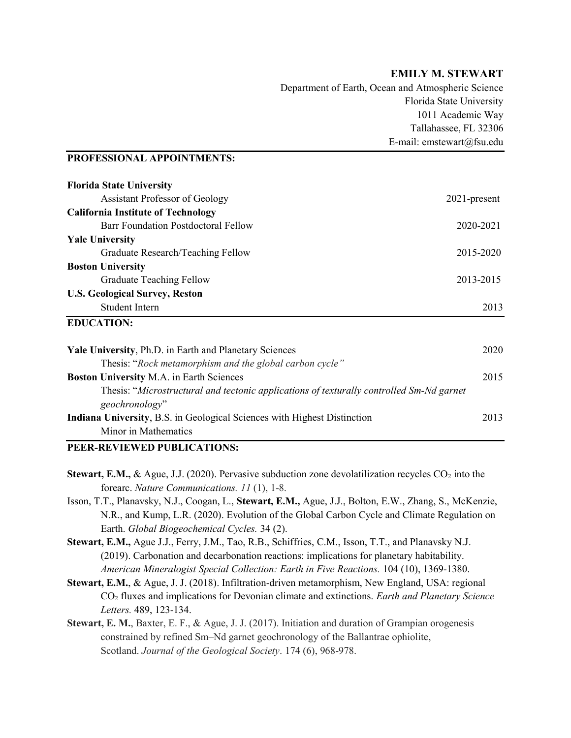## EMILY M. STEWART

Department of Earth, Ocean and Atmospheric Science Florida State University 1011 Academic Way Tallahassee, FL 32306 E-mail: emstewart@fsu.edu

#### PROFESSIONAL APPOINTMENTS:

| <b>Florida State University</b>                                                                            |                 |
|------------------------------------------------------------------------------------------------------------|-----------------|
| <b>Assistant Professor of Geology</b>                                                                      | $2021$ -present |
| <b>California Institute of Technology</b>                                                                  |                 |
| Barr Foundation Postdoctoral Fellow                                                                        | 2020-2021       |
| <b>Yale University</b>                                                                                     |                 |
| Graduate Research/Teaching Fellow                                                                          | 2015-2020       |
| <b>Boston University</b>                                                                                   |                 |
| <b>Graduate Teaching Fellow</b>                                                                            | 2013-2015       |
| <b>U.S. Geological Survey, Reston</b>                                                                      |                 |
| Student Intern                                                                                             | 2013            |
| <b>EDUCATION:</b>                                                                                          |                 |
| Yale University, Ph.D. in Earth and Planetary Sciences                                                     | 2020            |
| Thesis: "Rock metamorphism and the global carbon cycle"                                                    |                 |
| <b>Boston University M.A. in Earth Sciences</b>                                                            | 2015            |
| Thesis: "Microstructural and tectonic applications of texturally controlled Sm-Nd garnet<br>geochronology" |                 |
| <b>Indiana University, B.S. in Geological Sciences with Highest Distinction</b>                            | 2013            |

Minor in Mathematics

## PEER-REVIEWED PUBLICATIONS:

- **Stewart, E.M., & Ague, J.J. (2020). Pervasive subduction zone devolatilization recycles CO<sub>2</sub> into the** forearc. Nature Communications. 11 (1), 1-8.
- Isson, T.T., Planavsky, N.J., Coogan, L., Stewart, E.M., Ague, J.J., Bolton, E.W., Zhang, S., McKenzie, N.R., and Kump, L.R. (2020). Evolution of the Global Carbon Cycle and Climate Regulation on Earth. Global Biogeochemical Cycles. 34 (2).
- Stewart, E.M., Ague J.J., Ferry, J.M., Tao, R.B., Schiffries, C.M., Isson, T.T., and Planavsky N.J. (2019). Carbonation and decarbonation reactions: implications for planetary habitability. American Mineralogist Special Collection: Earth in Five Reactions. 104 (10), 1369-1380.
- Stewart, E.M., & Ague, J. J. (2018). Infiltration-driven metamorphism, New England, USA: regional CO<sub>2</sub> fluxes and implications for Devonian climate and extinctions. Earth and Planetary Science Letters. 489, 123-134.
- Stewart, E. M., Baxter, E. F., & Ague, J. J. (2017). Initiation and duration of Grampian orogenesis constrained by refined Sm–Nd garnet geochronology of the Ballantrae ophiolite, Scotland. Journal of the Geological Society. 174 (6), 968-978.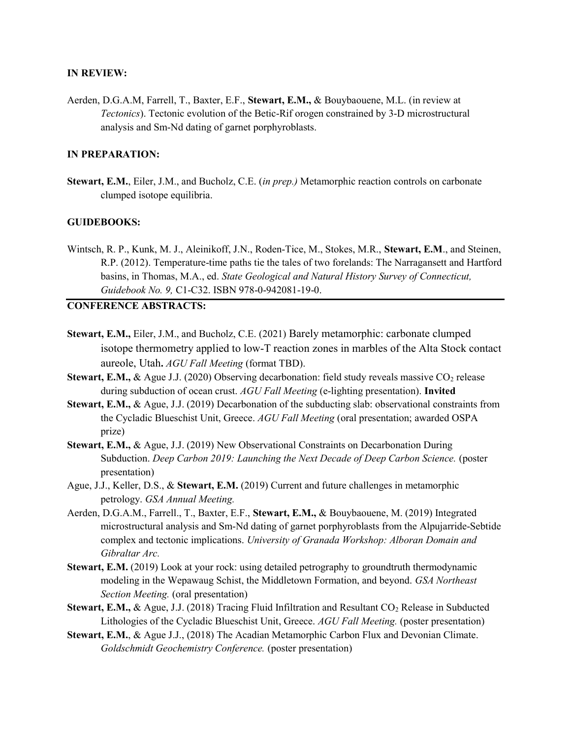#### IN REVIEW:

Aerden, D.G.A.M, Farrell, T., Baxter, E.F., Stewart, E.M., & Bouybaouene, M.L. (in review at Tectonics). Tectonic evolution of the Betic-Rif orogen constrained by 3-D microstructural analysis and Sm-Nd dating of garnet porphyroblasts.

## IN PREPARATION:

Stewart, E.M., Eiler, J.M., and Bucholz, C.E. (in prep.) Metamorphic reaction controls on carbonate clumped isotope equilibria.

## GUIDEBOOKS:

Wintsch, R. P., Kunk, M. J., Aleinikoff, J.N., Roden-Tice, M., Stokes, M.R., Stewart, E.M., and Steinen, R.P. (2012). Temperature-time paths tie the tales of two forelands: The Narragansett and Hartford basins, in Thomas, M.A., ed. State Geological and Natural History Survey of Connecticut, Guidebook No. 9, C1-C32. ISBN 978-0-942081-19-0.

## CONFERENCE ABSTRACTS:

- Stewart, E.M., Eiler, J.M., and Bucholz, C.E. (2021) Barely metamorphic: carbonate clumped isotope thermometry applied to low-T reaction zones in marbles of the Alta Stock contact aureole, Utah. AGU Fall Meeting (format TBD).
- **Stewart, E.M., & Ague J.J. (2020) Observing decarbonation: field study reveals massive CO<sub>2</sub> release** during subduction of ocean crust. AGU Fall Meeting (e-lighting presentation). Invited
- Stewart, E.M., & Ague, J.J. (2019) Decarbonation of the subducting slab: observational constraints from the Cycladic Blueschist Unit, Greece. AGU Fall Meeting (oral presentation; awarded OSPA prize)
- Stewart, E.M., & Ague, J.J. (2019) New Observational Constraints on Decarbonation During Subduction. Deep Carbon 2019: Launching the Next Decade of Deep Carbon Science. (poster presentation)
- Ague, J.J., Keller, D.S., & Stewart, E.M. (2019) Current and future challenges in metamorphic petrology. GSA Annual Meeting.
- Aerden, D.G.A.M., Farrell., T., Baxter, E.F., Stewart, E.M., & Bouybaouene, M. (2019) Integrated microstructural analysis and Sm-Nd dating of garnet porphyroblasts from the Alpujarride-Sebtide complex and tectonic implications. University of Granada Workshop: Alboran Domain and Gibraltar Arc.
- Stewart, E.M. (2019) Look at your rock: using detailed petrography to groundtruth thermodynamic modeling in the Wepawaug Schist, the Middletown Formation, and beyond. GSA Northeast Section Meeting. (oral presentation)
- **Stewart, E.M., & Ague, J.J. (2018) Tracing Fluid Infiltration and Resultant CO<sub>2</sub> Release in Subducted** Lithologies of the Cycladic Blueschist Unit, Greece. AGU Fall Meeting. (poster presentation)
- Stewart, E.M., & Ague J.J., (2018) The Acadian Metamorphic Carbon Flux and Devonian Climate. Goldschmidt Geochemistry Conference. (poster presentation)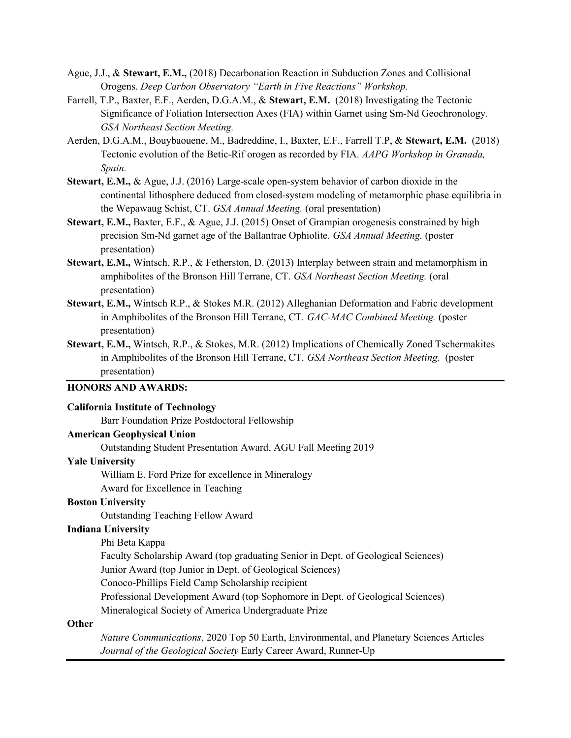- Ague, J.J., & Stewart, E.M., (2018) Decarbonation Reaction in Subduction Zones and Collisional Orogens. Deep Carbon Observatory "Earth in Five Reactions" Workshop.
- Farrell, T.P., Baxter, E.F., Aerden, D.G.A.M., & Stewart, E.M. (2018) Investigating the Tectonic Significance of Foliation Intersection Axes (FIA) within Garnet using Sm-Nd Geochronology. GSA Northeast Section Meeting.
- Aerden, D.G.A.M., Bouybaouene, M., Badreddine, I., Baxter, E.F., Farrell T.P, & Stewart, E.M. (2018) Tectonic evolution of the Betic-Rif orogen as recorded by FIA. AAPG Workshop in Granada, Spain.
- Stewart, E.M., & Ague, J.J. (2016) Large-scale open-system behavior of carbon dioxide in the continental lithosphere deduced from closed-system modeling of metamorphic phase equilibria in the Wepawaug Schist, CT. GSA Annual Meeting. (oral presentation)
- Stewart, E.M., Baxter, E.F., & Ague, J.J. (2015) Onset of Grampian orogenesis constrained by high precision Sm-Nd garnet age of the Ballantrae Ophiolite. GSA Annual Meeting. (poster presentation)
- Stewart, E.M., Wintsch, R.P., & Fetherston, D. (2013) Interplay between strain and metamorphism in amphibolites of the Bronson Hill Terrane, CT. GSA Northeast Section Meeting. (oral presentation)
- Stewart, E.M., Wintsch R.P., & Stokes M.R. (2012) Alleghanian Deformation and Fabric development in Amphibolites of the Bronson Hill Terrane, CT. GAC-MAC Combined Meeting. (poster presentation)
- Stewart, E.M., Wintsch, R.P., & Stokes, M.R. (2012) Implications of Chemically Zoned Tschermakites in Amphibolites of the Bronson Hill Terrane, CT. GSA Northeast Section Meeting. (poster presentation)

## HONORS AND AWARDS:

#### California Institute of Technology

Barr Foundation Prize Postdoctoral Fellowship

### American Geophysical Union

Outstanding Student Presentation Award, AGU Fall Meeting 2019

#### Yale University

William E. Ford Prize for excellence in Mineralogy Award for Excellence in Teaching

## Boston University

Outstanding Teaching Fellow Award

### Indiana University

Phi Beta Kappa

Faculty Scholarship Award (top graduating Senior in Dept. of Geological Sciences)

Junior Award (top Junior in Dept. of Geological Sciences)

Conoco-Phillips Field Camp Scholarship recipient

Professional Development Award (top Sophomore in Dept. of Geological Sciences)

Mineralogical Society of America Undergraduate Prize

#### **Other**

Nature Communications, 2020 Top 50 Earth, Environmental, and Planetary Sciences Articles Journal of the Geological Society Early Career Award, Runner-Up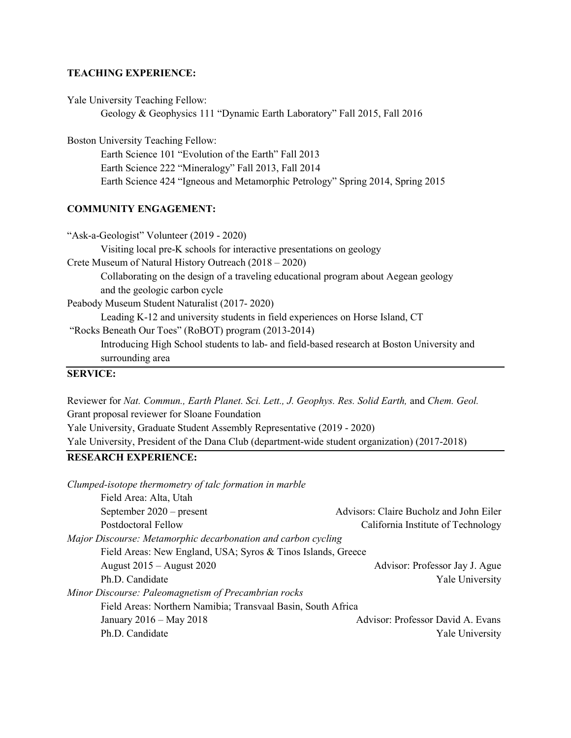## TEACHING EXPERIENCE:

Yale University Teaching Fellow:

Geology & Geophysics 111 "Dynamic Earth Laboratory" Fall 2015, Fall 2016

Boston University Teaching Fellow:

 Earth Science 101 "Evolution of the Earth" Fall 2013 Earth Science 222 "Mineralogy" Fall 2013, Fall 2014 Earth Science 424 "Igneous and Metamorphic Petrology" Spring 2014, Spring 2015

#### COMMUNITY ENGAGEMENT:

| "Ask-a-Geologist" Volunteer (2019 - 2020)                                                  |
|--------------------------------------------------------------------------------------------|
| Visiting local pre-K schools for interactive presentations on geology                      |
| Crete Museum of Natural History Outreach (2018 – 2020)                                     |
| Collaborating on the design of a traveling educational program about Aegean geology        |
| and the geologic carbon cycle                                                              |
| Peabody Museum Student Naturalist (2017-2020)                                              |
| Leading K-12 and university students in field experiences on Horse Island, CT              |
| "Rocks Beneath Our Toes" (RoBOT) program (2013-2014)                                       |
| Introducing High School students to lab- and field-based research at Boston University and |
| surrounding area                                                                           |
| серилсе.                                                                                   |

#### SERVICE:

Reviewer for Nat. Commun., Earth Planet. Sci. Lett., J. Geophys. Res. Solid Earth, and Chem. Geol. Grant proposal reviewer for Sloane Foundation Yale University, Graduate Student Assembly Representative (2019 - 2020) Yale University, President of the Dana Club (department-wide student organization) (2017-2018)

# RESEARCH EXPERIENCE:

| Clumped-isotope thermometry of talc formation in marble       |                                         |
|---------------------------------------------------------------|-----------------------------------------|
| Field Area: Alta, Utah                                        |                                         |
| September $2020$ – present                                    | Advisors: Claire Bucholz and John Eiler |
| Postdoctoral Fellow                                           | California Institute of Technology      |
| Major Discourse: Metamorphic decarbonation and carbon cycling |                                         |
| Field Areas: New England, USA; Syros & Tinos Islands, Greece  |                                         |
| August $2015 -$ August $2020$                                 | Advisor: Professor Jay J. Ague          |
| Ph.D. Candidate                                               | <b>Yale University</b>                  |
| Minor Discourse: Paleomagnetism of Precambrian rocks          |                                         |
| Field Areas: Northern Namibia; Transvaal Basin, South Africa  |                                         |
| January 2016 – May 2018                                       | Advisor: Professor David A. Evans       |
| Ph.D. Candidate                                               | Yale University                         |